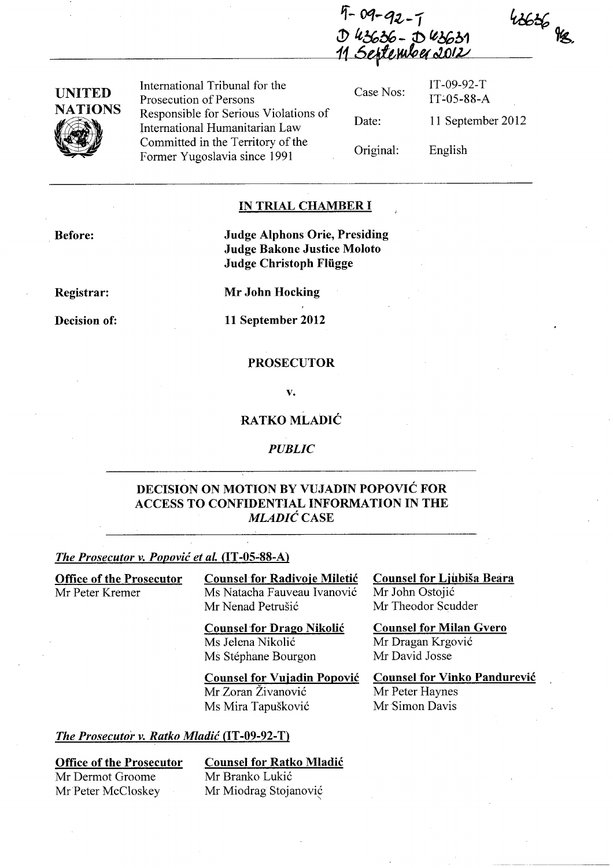$9 - 92 - 1$  $143636 - 043631$ <sup>11</sup>*6qftw/PuoW*1v



International Tribunal for the Prosecution of Persons Responsible for Serious Violations of International Humanitarian Law Committed in the Territory of the Former Yugoslavia since 1991

Case Nos: Date: Original: IT-09-92-T IT~05-88-A 11 September 2012 English

 $4666$ 

## IN TRIAL CHAMBER I

Judge Alphons Orie, Presiding Judge Bakone Justice Moloto Judge Christoph Fliigge

Registrar:

Before:

Decision of:

Mr John Hocking

11 September 2012

#### PROSECUTOR

v.

### RATKO MLADIC

*PUBLIC* 

## DECISION ON MOTION BY VUJADIN POPOVIC FOR ACCESS TO CONFIDENTIAL INFORMATION IN THE *MLADIĆ CASE*

#### *The Prosecutor v. Popović et al.* (IT-05-88-A)

Office of the Prosecutor Mr Peter Kremer

**Counsel for Radivoje Miletić** Ms Natacha Fauveau Ivanovic Mr Nenad Petrušić

Counsel for Drago Nikolic Ms Jelena Nikolić Ms Stephane Bourgon

Counsel for Ljubisa Beara Mr John Ostojic Mr Theodor Scudder

Counsel for Milan Gvero Mr Dragan Krgovic Mr David Josse

Counsel for Vujadin Popovic

Mr Zoran Zivanovic Ms Mira Tapuskovic Counsel for Vinko Pandurevic Mr Peter Haynes Mr Simon Davis

#### *The Prosecutor v. Ratko Mladić* (IT-09-92-T)

### Office of the Prosecutor

Counsel for Ratko Mladic

Mr Dermot Groome Mr Peter McCloskey

### Mr Branko Lukić Mr Miodrag Stojanovic "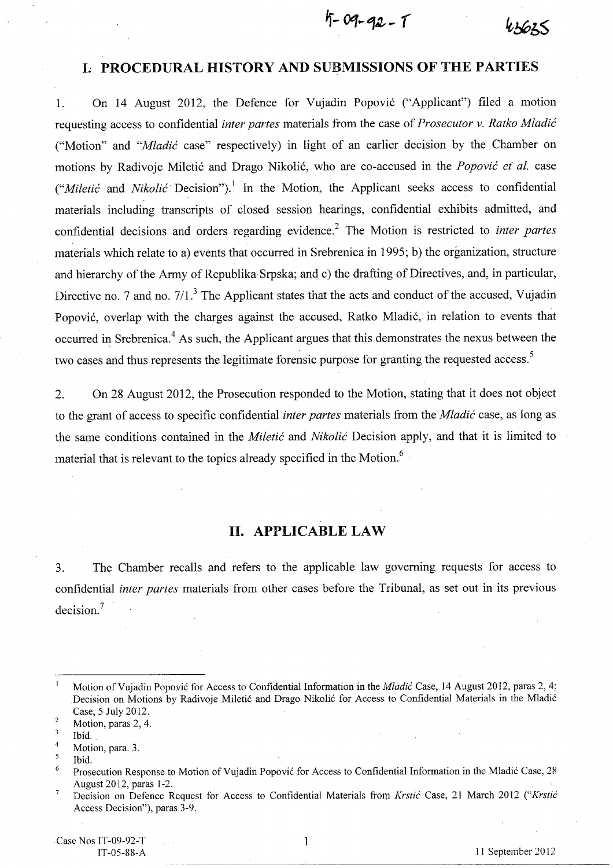$5 - 09 - 92 - 1$ 

## **L PROCEDURAL HISTORY AND SUBMISSIONS OF THE PARTIES**

1. On 14 August 2012, the Defence for Vujadin Popovic ("Applicant") filed a motion requesting access to confidential *inter partes* materials from the case of *Prosecutor* v. *Ratko Mladic*  ("Motion" and *"Mladic* case" respectively) in light of an earlier decision by the Chamber on motions by Radivoje Miletic and Drago Nikolic, who are co-accused in the *Popovic et al.* case *("Miletić* and *Nikolić* Decision").<sup>1</sup> In the Motion, the Applicant seeks access to confidential materials including transcripts of closed session hearings, confidential exhibits admitted, and confidential decisions and orders regarding evidence.2 The Motion is restricted to *inter partes*  materials which relate to a) events that occurred in Srebrenica in 1995; b) the organization, structure and hierarchy of the Army of Republika Srpska; and c) the drafting of Directives, and, in particular, Directive no. 7 and no. 7/1.<sup>3</sup> The Applicant states that the acts and conduct of the accused, Vujadin Popovic, overlap with the charges against the accused, Ratko Mladic, in relation to events that occurred in Srebrenica.<sup>4</sup> As such, the Applicant argues that this demonstrates the nexus between the two cases and thus represents the legitimate forensic purpose for granting the requested access.<sup>5</sup>

2. On 28 August 2012, the Prosecution responded to the Motion, stating that it does not object to the grant of access to specific confidential *inter partes* materials from the *Mladic* case, as long as the same conditions contained in the *Miletic* and *Nikolic* Decision apply, and that it is limited to material that is relevant to the topics already specified in the Motion.<sup>6</sup>

# **n. APPLICABLE LAW**

3. The Chamber recalls and refers to the applicable law governing requests for access to confidential *inter partes* materials from other cases before the Tribunal, as set out in its previous decision. <sup>7</sup>

 $\mathbf{1}$ 

 $\mathbf{1}$ Motion of Vujadin Popović for Access to Confidential Information in the *Mladić* Case, 14 August 2012, paras 2, 4; .Decision on Motions by Radivoje Miletic and Drago Nikolic for Access to Confidential Materials in the Mladic Case, 5 July 2012.  $\overline{2}$ 

Motion, paras 2, 4.

 $\overline{3}$ Ibid.

<sup>4</sup>  Motion, para. 3.

 $\overline{5}$ Ibid.

<sup>6</sup> Prosecution Response to Motion of Vujadin Popović for Access to Confidential Information in the Mladić Case, 28 August 2012, paras 1-2.

<sup>7</sup> Decision on Defence Request for Access to Confidential Materials from *Krstic* Case, 21 March 2012 *("Krstic*  Access Decision"), paras 3-9.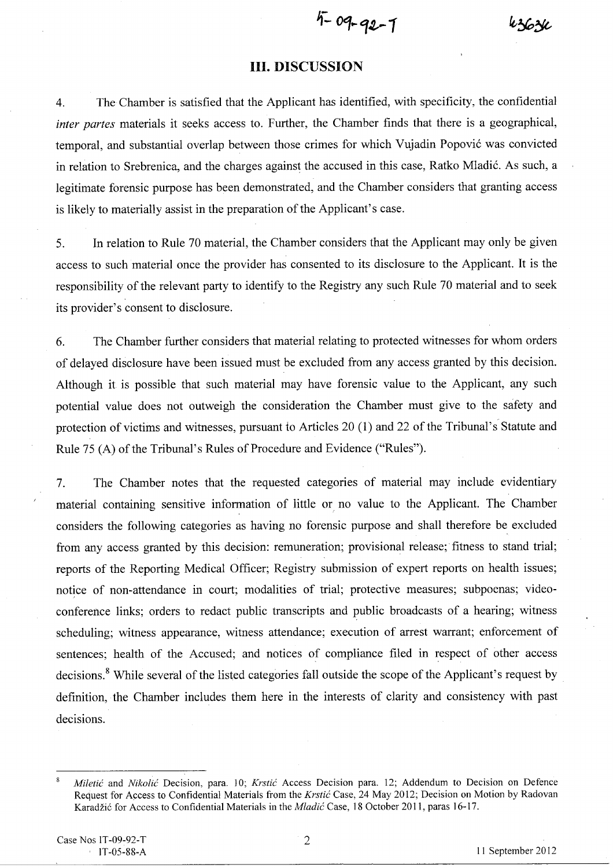$4 - 09 - 92 - 1$ 

k3630

### **Ill. DISCUSSION**

4. The Chamber is satisfied that the Applicant has identified, with specificity, the confidential *inter partes* materials it seeks access to. Further, the Chamber finds that there is a geographical, temporal, and substantial overlap between those crimes for which Vujadin Popovic was convicted in relation to Srebrenica, and the charges against the accused in this case, Ratko Mladic. As such, a legitimate forensic purpose has been demonstrated, and the Chamber considers that granting access is likely to materially assist in the preparation of the Applicant's case.

5. In relation to Rule 70 material, the Chamber considers that the Applicant may only be given access to such material once the provider has consented to its disclosure to the Applicant. It is the responsibility of the relevant party to identify to the Registry any such Rule 70 material and to seek its provider's consent to disclosure.

6. The Chamber further considers that material relating to protected witnesses for whom orders of delayed disclosure have been issued must be excluded from any access granted by this decision. Although it is possible that such material may have forensic value to the Applicant, any such potential value does not outweigh the consideration the Chamber must give to the safety and protection of victims and witnesses, pursuant to Articles 20 (1) and 22 of the Tribunal's Statute and Rule 75 (A) of the Tribunal's Rules of Procedure and Evidence ("Rules").

7. The Chamber notes that the requested categories of material may include evidentiary material containing sensitive information of little or no value to the Applicant. The Chamber considers the following categories as having no forensic purpose and shall therefore be excluded from any access granted by this decision: remuneration; provisional release; fitness to stand trial; reports of the Reporting Medical Officer; Registry submission of expert reports on health issues; notice of non-attendance in court; modalities of trial; protective measures; subpoenas; videoconference links; orders to redact public transcripts and public broadcasts of a hearing; witness scheduling; witness appearance, witness attendance; execution of arrest warrant; enforcement of sentences; health of the Accused; and notices of compliance filed in respect of other access decisions. 8 While several of the listed categories fall outside the scope of the Applicant's request by definition, the Chamber includes them here in the interests of clarity and consistency with past decisions.

I1 September 2012

2

*Miletic* and *Nikolic* Decision, para. 10; *Krstic* Access Decision para. 12; Addendum to Decision on Defence Request for Access to Confidential Materials from the *Krstic* Case, 24 May 2012; Decision on Motion by Radovan Karadzi6 for Access to Confidential Materials in the *Mladic* Case, 18 October 2011, paras 16-17.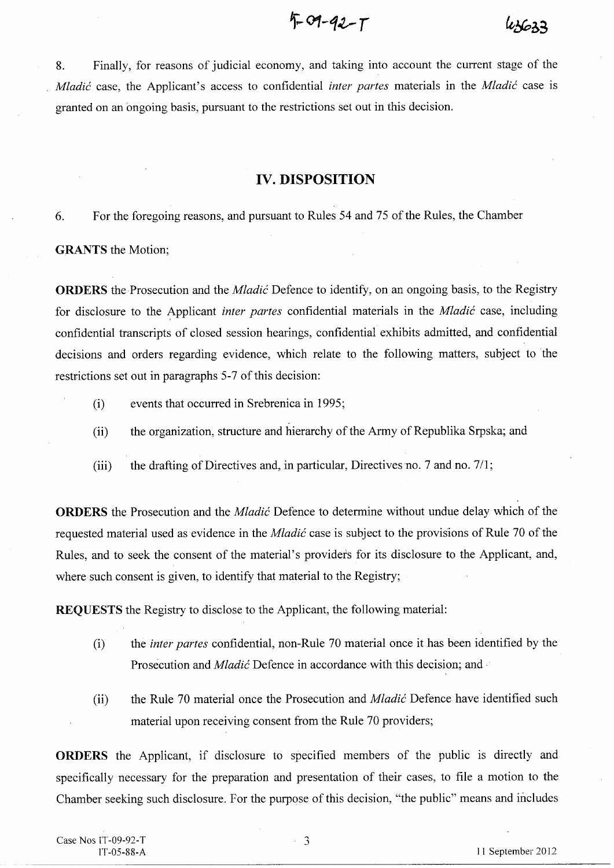$4 - 9 - 12 - 1$ 

 $43633$ 

8. Finally, for reasons of judicial economy, and taking into account the current stage of the *Mladic* case, the Applicant's access to confidential *inter partes* materials in the *Mladic* case is granted on an ongoing basis, pursuant to the restrictions set out in this decision.

# **IV. DISPOSITION**

6. For the foregoing reasons, and pursuant to Rules 54 and 75 of the Rules, the Chamber

**GRANTS** the Motion;

**ORDERS** the Prosecution and the *Mladic* Defence to identify, on an ongoing basis, to the Registry for disclosure to the Applicant *inter partes* confidential materials in the *Mladic* case, including confidential transcripts of closed session hearings, confidential exhibits admitted, and confidential decisions and orders regarding evidence, which relate to the following matters, subject to the restrictions set out in paragraphs 5-7 of this decision:

- (i) events that occurred in Srebrenica in 1995;
- (ii) the organization, structure and hierarchy of the Army of Republika Srpska; and
- (iii) the drafting of Directives and, in particular, Directives no. 7 and no. 711;

**ORDERS** the Prosecution and the *Mladic* Defence to determine without undue delay which of the requested material used as evidence in the *Mladic* case is subject to the provisions of Rule 70 of the Rules, and to seek the consent of the material's providers for its disclosure to the Applicant, and, where such consent is given, to identify that material to the Registry;

**REQUESTS** the Registry to disclose to the Applicant, the following material:

- (i) the *inter partes* confidential, non-Rule 70 material once it has been identified by the Prosecution and *Mladic* Defence in accordance with this decision; and .
- (ii) the Rule 70 material once the Prosecution and *Mladic* Defence have identified such material upon receiving consent from the Rule 70 providers;

**ORDERS** the Applicant, if disclosure to specified members of the public is directly and specifically necessary for the preparation and presentation of their cases, to file a motion to the Chamber seeking such disclosure. For the purpose of this decision, "the public" means and includes

Case Nos IT-09-92-T IT-05-88-A

3  $\mathbb{Z}^{\mathbb{Z}}$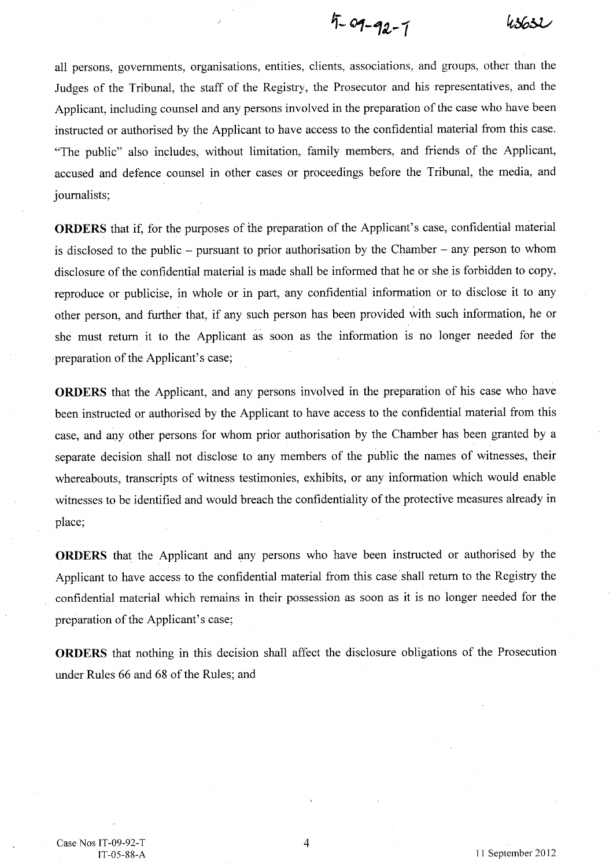$5 - 09 - 92 - 7$ 43632

all persons, governments, organisations, entities, clients, associations, and groups, other than the Judges of the Tribunal, the staff of the Registry, the Prosecutor and his representatives, and the Applicant, including counsel and any persons involved in the preparation of the case who have been instructed or authorised by the Applicant to have access to the confidential material from this case. "The public" also includes, without limitation, family members, and friends of the Applicant, accused and defence counsel in other cases or proceedings before the Tribunal, the media, and journalists;

**ORDERS** that if, for the purposes of the preparation of the Applicant's case, confidential material is disclosed to the public - pursuant to prior authorisation by the Chamber - any person to whom disclosure of the confidential material is made shall be informed that he or she is forbidden to copy, reproduce or publicise, in whole or in part, any confidential information or to disclose it to any other person, and further that, if any such person has been provided with such information, he or she must return it to the Applicant as soon as the information is no longer needed for the preparation of the Applicant's case;

**ORDERS** that the Applicant, and any persons involved in the preparation of his case who have been instructed or authorised by the Applicant to have access to the confidential material from this case, and any other persons for whom prior authorisation by the Chamber has been granted by a separate decision shall not disclose to any members of the public the names of witnesses, their whereabouts, transcripts of witness testimonies, exhibits, or any information which would enable witnesses to be identified and would breach the confidentiality of the protective measures already in place;

**ORDERS** that the Applicant and any persons who have been instructed or authorised by the Applicant to have access to the confidential material from this case shall return to the Registry the confidential material which remains in their possession as soon as it is no longer needed for the preparation of the Applicant's case;

**ORDERS** that nothing in this decision shall affect the disclosure obligations of the Prosecution under Rules 66 and 68 of the Rules; and